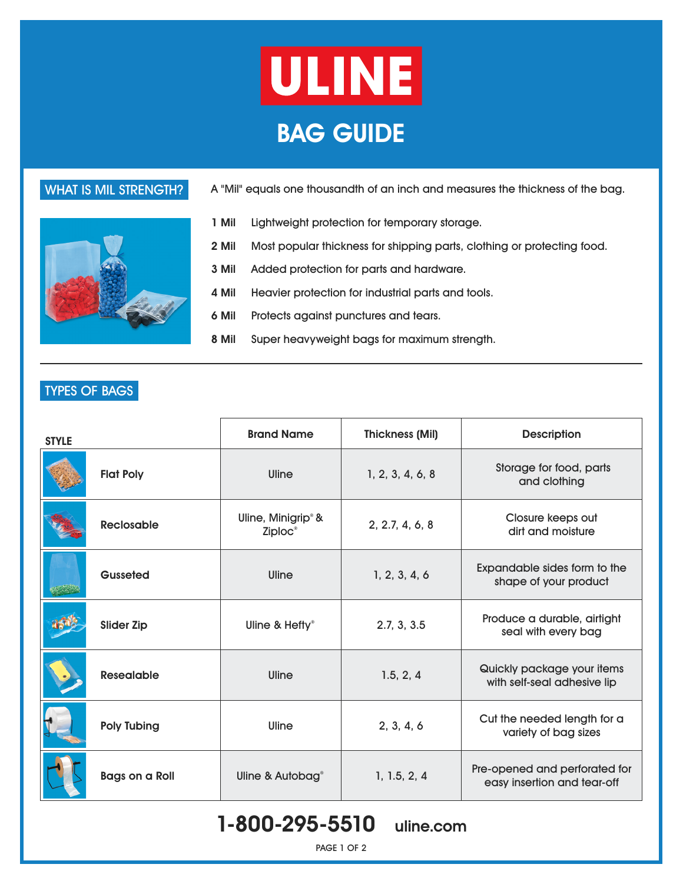





- **1 Mil** Lightweight protection for temporary storage.
- **2 Mil** Most popular thickness for shipping parts, clothing or protecting food.
- **3 Mil** Added protection for parts and hardware.
- **4 Mil** Heavier protection for industrial parts and tools.
- **6 Mil** Protects against punctures and tears.
- **8 Mil** Super heavyweight bags for maximum strength.

| <b>STYLE</b> |                       | <b>Brand Name</b>                                     | <b>Thickness (Mil)</b> | <b>Description</b>                                           |
|--------------|-----------------------|-------------------------------------------------------|------------------------|--------------------------------------------------------------|
|              | <b>Flat Poly</b>      | Uline                                                 | 1, 2, 3, 4, 6, 8       | Storage for food, parts<br>and clothing                      |
|              | <b>Reclosable</b>     | Uline, Minigrip <sup>®</sup> &<br>Ziploc <sup>®</sup> | 2, 2.7, 4, 6, 8        | Closure keeps out<br>dirt and moisture                       |
|              | Gusseted              | Uline                                                 | 1, 2, 3, 4, 6          | Expandable sides form to the<br>shape of your product        |
|              | <b>Slider Zip</b>     | Uline & Hefty®                                        | 2.7, 3, 3.5            | Produce a durable, airtight<br>seal with every bag           |
|              | <b>Resealable</b>     | Uline                                                 | 1.5, 2, 4              | Quickly package your items<br>with self-seal adhesive lip    |
|              | <b>Poly Tubing</b>    | Uline                                                 | 2, 3, 4, 6             | Cut the needed length for a<br>variety of bag sizes          |
|              | <b>Bags on a Roll</b> | Uline & Autobag <sup>®</sup>                          | 1, 1.5, 2, 4           | Pre-opened and perforated for<br>easy insertion and tear-off |

### TYPES OF BAGS

# 1-800-295-5510 uline.com

PAGE 1 OF 2